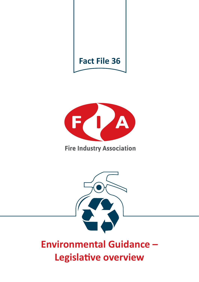



# **Fire Industry Association**



# **Environmental Guidance – Legislative overview**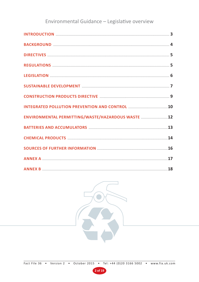# Environmental Guidance - Legislative overview

| <b>INTRODUCTION</b> 23                                           |  |
|------------------------------------------------------------------|--|
|                                                                  |  |
|                                                                  |  |
|                                                                  |  |
|                                                                  |  |
|                                                                  |  |
|                                                                  |  |
| <b>INTEGRATED POLLUTION PREVENTION AND CONTROL MANAGEMENT 10</b> |  |
| ENVIRONMENTAL PERMITTING/WASTE/HAZARDOUS WASTE 12                |  |
|                                                                  |  |
|                                                                  |  |
|                                                                  |  |
| <b>ANNEX A 2000 POINT 17</b>                                     |  |
| <b>ANNEX B</b> 28                                                |  |



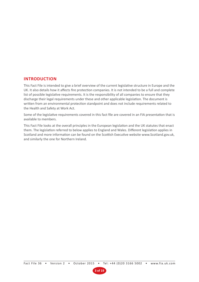## **INTRODUCTION**

This Fact File is intended to give a brief overview of the current legislative structure in Europe and the UK. It also details how it affects fire protection companies. It is not intended to be a full and complete list of possible legislative requirements. It is the responsibility of all companies to ensure that they discharge their legal requirements under these and other applicable legislation. The document is written from an environmental protection standpoint and does not include requirements related to the Health and Safety at Work Act.

Some of the legislative requirements covered in this fact file are covered in an FIA presentation that is available to members.

This Fact File looks at the overall principles in the European legislation and the UK statutes that enact them. The legislation referred to below applies to England and Wales. Different legislation applies in Scotland and more information can be found on the Scottish Executive website www.Scotland.gov.uk, and similarly the one for Northern Ireland.

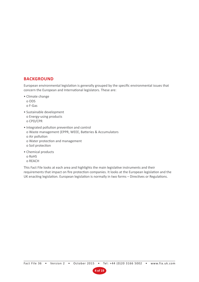# **BACKGROUND**

European environmental legislation is generally grouped by the specific environmental issues that concern the European and International legislators. These are:

- Climate change
	- o ODS
	- o F-Gas
- Sustainable development o Energy-using products o CPD/CPR
- Integrated pollution prevention and control o Waste management (EPPR, WEEE, Batteries & Accumulators o Air pollution o Water protection and management o Soil protection
- Chemical products o RoHS
	- o REACH

This Fact File looks at each area and highlights the main legislative instruments and their requirements that impact on fire protection companies. It looks at the European legislation and the UK enacting legislation. European legislation is normally in two forms – Directives or Regulations.

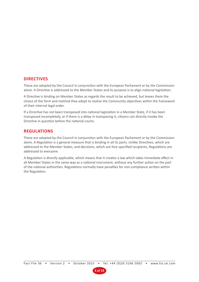# **DIRECTIVES**

These are adopted by the Council in conjunction with the European Parliament or by the Commission alone. A Directive is addressed to the Member States and its purpose is to align national legislation.

A Directive is binding on Member States as regards the result to be achieved, but leaves them the choice of the form and method they adopt to realise the Community objectives within the framework of their internal legal order.

If a Directive has not been transposed into national legislation in a Member State, if it has been transposed incompletely, or if there is a delay in transposing it, citizens can directly invoke the Directive in question before the national courts.

# **REGULATIONS**

These are adopted by the Council in conjunction with the European Parliament or by the Commission alone. A Regulation is a general measure that is binding in all its parts. Unlike Directives, which are addressed to the Member States, and decisions, which are fore specified recipients, Regulations are addressed to everyone.

A Regulation is directly applicable, which means that it creates a law which takes immediate effect in all Member States in the same way as a national instrument, without any further action on the part of the national authorities. Regulations normally have penalties for non-compliance written within the Regulation.

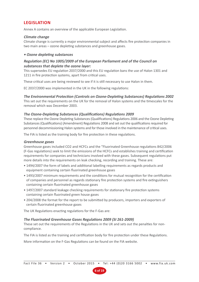# **LEGISLATION**

Annex A contains an overview of the applicable European Legislation.

#### **Climate change**

Climate change is currently a major environmental subject and affects fire protection companies in two main areas – ozone depleting substances and greenhouse gases.

#### **• Ozone depleting substances**

#### **Regulation (EC) No 1005/2009 of the European Parliament and of the Council on substances that deplete the ozone layer:**

This supersedes EU regulation 2037/2000 and this EU regulation bans the use of Halon 1301 and 1211 in fire protection systems, apart from critical uses.

These critical uses are being reviewed to see if it is still necessary to use Halon in them.

EC 2037/2000 was implemented in the UK in the following regulations:

#### **The Environmental Protection (Controls on Ozone-Depleting Substances) Regulations 2002**

This set out the requirements on the UK for the removal of Halon systems and the timescales for the removal which was December 2003.

#### **The Ozone-Depleting Substances (Qualifications) Regulations 2009**

These replace the Ozone Depleting Substances (Qualifications) Regulations 2006 and the Ozone Depleting Substances (Qualifications) (Amendment) Regulations 2008 and set out the qualifications required for personnel decommissioning Halon systems and for those involved in the maintenance of critical uses.

The FIA is listed as the training body for fire protection in these regulations.

#### **Greenhouse gases**

Greenhouse gases included CO2 and HCFCs and the "Fluorinated Greenhouse regulations 842/2006 (F-Gas regulations) seek to limit the emissions of the HCFCs and establishes training and certification requirements for companies and technicians involved with these gases. Subsequent regulations put more details into the requirements on leak checking, recording and training. These are:

- 1494/2007 the form of labels and additional labelling requirements as regards products and equipment containing certain fluorinated greenhouse gases
- 1493/2007 minimum requirements and the conditions for mutual recognition for the certification of companies and personnel as regards stationary fire protection systems and fire extinguishers containing certain fluorinated greenhouse gases
- 1497/2007 standard leakage checking requirements for stationary fire protection systems containing certain fluorinated green house gases
- 204/2008 the format for the report to be submitted by producers, importers and exporters of certain fluorinated greenhouse gases

The UK Regulations enacting regulations for the F-Gas are:

#### **The Fluorinated Greenhouse Gases Regulations 2009 (SI 261-2009)**

These set out the requirements of the Regulations in the UK and sets out the penalties for noncompliance.

The FIA is listed as the training and certification body for fire protection under these Regulations.

More information on the F-Gas Regulations can be found on the FIA website.

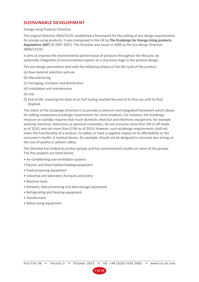# **SUSTAINABLE DEVELOPMENT**

#### Energy-using Products Directive

The original Directive 2005/32/EC established a framework for the setting of eco-design requirements for energy-using products. It was transposed in the UK by **The Ecodesign for Energy-Using products Regulations 2007** (SI 2007 2037). The Directive was recast in 2009 as the Eco-design Directive 2009/125/EC.

It aims to improve the environmental performance of products throughout the lifecycle, by systematic integration of environmental aspects at a very early stage in the product design.

The eco-design parameters deal with the following phases of the life-cycle of the product:

- (a) Raw material selection and use
- (b) Manufacturing
- (c) Packaging, transport and distribution
- (d) Installation and maintenance
- (e) Use
- (f) End-of-life, meaning the state of an EuP having reached the end of its first use until its final disposal.

The intent of the Ecodesign Directive is to provide a coherent and integrated framework which allows for setting compulsory ecodesign requirements for some products. For instance, the Ecodesign measure on standby requires that much domestic electrical and electronic equipment, for example washing machines, televisions or personal computers, do not consume more than 1W in off mode as of 2010, and not more than 0.5W as of 2013. However, such ecodesign requirements shall not lower the functionality of a product, its safety, or have a negative impact on its affordability or the consumer's health. A medical device, for example, should not be designed to consume less energy at the cost of quality or patient safety.

The Directive has looked at product groups and has commissioned studies on some of the groups. The first projects are listed below:

- Air-conditioning and ventilation systems
- Electric and fossil-fuelled heating equipment
- Food-preparing equipment
- Industrial and laboratory furnaces and ovens
- Machine tools
- Network, data processing and data storage equipment
- Refrigerating and freezing equipment
- Transformers
- Water-using equipment

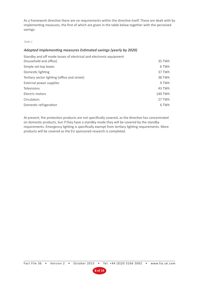As a framework directive there are no requirements within the directive itself. These are dealt with by implementing measures, the first of which are given in the table below together with the perceived savings:

#### Table 1

#### **Adopted implementing measures Estimated savings (yearly by 2020)**

| Standby and off mode losses of electrical and electronic equipment |         |
|--------------------------------------------------------------------|---------|
| (household and office)                                             | 35 TWh  |
| Simple set-top boxes                                               | 6 TWh   |
| Domestic lighting                                                  | 37 TWh  |
| Tertiary sector lighting (office and street)                       | 38 TWh  |
| External power supplies                                            | 9 TWh   |
| Televisions                                                        | 43 TWh  |
| Electric motors                                                    | 140 TWh |
| Circulators                                                        | 27 TWh  |
| Domestic refrigeration                                             | 6 TWh   |
|                                                                    |         |

At present, fire protection products are not specifically covered, as the directive has concentrated on domestic products, but if they have a standby mode they will be covered by the standby requirements. Emergency lighting is specifically exempt from tertiary lighting requirements. More products will be covered as the EU sponsored research is completed.

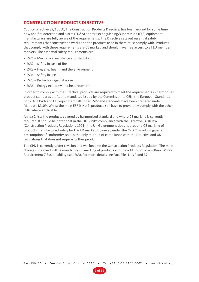# **CONSTRUCTION PRODUCTS DIRECTIVE**

Council Directive 89/106EC, The Construction Products Directive, has been around for some time now and fire detection and alarm (FD&A) and fire extinguishing/suppression (FES) equipment manufacturers are fully aware of the requirements. The Directive sets out essential safety requirements that construction works and the products used in them must comply with. Products that comply with these requirements are CE marked and should have free access to all EU member markets. The essential safety requirements are:

- ESR1 Mechanical resistance and stability
- ESR2 Safety in case of fire
- ESR3 Hygiene, health and the environment
- ESR4 Safety in use
- ESR5 Protection against noise
- ESR6 Energy economy and heat retention

In order to comply with the Directive, products are required to meet the requirements in harmonised product standards drafted to mandates issued by the Commission to CEN, the European Standards body. All FD&A and FES equipment fall under ESR2 and standards have been prepared under Mandate M109. Whilst the main ESR is No 2, products still have to prove they comply with the other ESRs where applicable.

Annex 2 lists the products covered by harmonised standard and where CE marking is currently required. It should be noted that in the UK, whilst compliance with the Directive is UK law (Construction Products Regulations 1991), the UK Government does not require CE marking of products manufactured solely for the UK market. However, under the CPD CE marking gives a presumption of conformity, so it is the only method of compliance with the Directive and UK regulations that does not require further proof.

The CPD is currently under revision and will become the Construction Products Regulation. The main changes proposed will be mandatory CE marking of products and the addition of a new Basic Works Requirement 7 Sustainability (see ESR). For more details see Fact Files Nos 9 and 37.

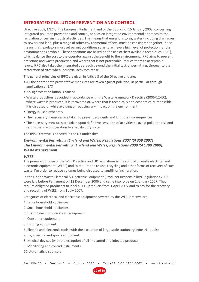# **INTEGRATED POLLUTION PREVENTION AND CONTROL**

Directive 2008/1/EC of the European Parliament and of the Council of 15 January 2008, concerning integrated pollution prevention and control, applies an integrated environmental approach to the regulation of certain industrial activities. This means that emissions to air, water (including discharges to sewer) and land, plus a range of other environmental effects, must be considered together. It also means that regulators must set permit conditions so as to achieve a high level of protection for the environment as a whole. These conditions are based on the use of 'best available techniques' (BAT), which balance the cost to the operator against the benefit to the environment. IPPC aims to prevent emissions and waste production and where that is not practicable, reduce them to acceptable levels. IPPC also takes the integrated approach beyond the initial task of permitting, through to the restoration of sites when industrial activities cease.

The general principles of IPPC are given in Article 3 of the Directive and are:

- All the appropriate preventative measures are taken against pollution, in particular through application of BAT
- No significant pollution is caused
- Waste production is avoided in accordance with the Waste Framework Directive (2006/12/EC); where waste is produced, it is recovered or, where that is technically and economically impossible, it is disposed of while avoiding or reducing any impact on the environment
- Energy is used efficiently
- The necessary measures are taken to prevent accidents and limit their consequences
- The necessary measures are taken upon definitive cessation of activities to avoid pollution risk and return the sire of operation to a satisfactory state

The IPPC Directive is enacted in the UK under the:

## **Environmental Permitting (England and Wales) Regulations 2007 (SI 358 2007) The Environmental Permitting (England and Wales) Regulations 2009 (SI 1799 2009). Waste Management**

#### **WEEE**

The primary purpose of the WEE Directive and UK regulations is the control of waste electrical and electronic equipment (WEEE) and to require the re-use, recycling and other forms of recovery of such waste, I'm order to reduce volumes being disposed to landfill or incineration.

In the UK the Waste Electrical & Electronic Equipment (Producer Responsibility) Regulations 2006 were laid before Parliament on 12 December 2006 and came into force on 2 January 2007. They require obligated producers to label all EEE products from 1 April 2007 and to pay for the recovery and recycling of WEEE from 1 July 2007.

Categories of electrical and electronic equipment covered by the WEE Directive are:

- 1. Large household appliances
- 2. Small household appliances
- 3. IT and telecommunications equipment
- 4. Consumer equipment
- 5. Lighting equipment
- 6. Electric and electronic tools (with the exception of large-scale stationary industrial tools)
- 7. Toys, leisure and sports equipment
- 8. Medical devices (with the exception of all implanted and infected products)
- 9. Monitoring and control instruments
- 10. Automatic dispensers

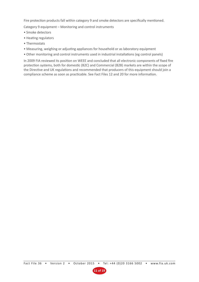Fire protection products fall within category 9 and smoke detectors are specifically mentioned.

Category 9 equipment – Monitoring and control instruments

- Smoke detectors
- Heating regulators
- Thermostats
- Measuring, weighing or adjusting appliances for household or as laboratory equipment
- Other monitoring and control instruments used in industrial installations (eg control panels)

In 2009 FIA reviewed its position on WEEE and concluded that all electronic components of fixed fire protection systems, both for domestic (B2C) and Commercial (B2B) markets are within the scope of the Directive and UK regulations and recommended that producers of this equipment should join a compliance scheme as soon as practicable. See Fact Files 12 and 20 for more information.

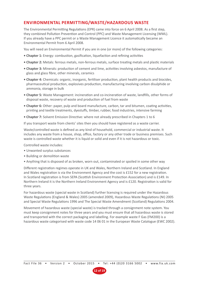# **ENVIRONMENTAL PERMITTING/WASTE/HAZARDOUS WASTE**

The Environmental Permitting Regulations (EPR) came into force on 6 April 2008. As a first step, they combined Pollution Prevention and Control (PPC) and Waste Management Licensing (WML). If you already have a PPC permit or a Waste Management Licence it automatically became an Environmental Permit from 6 April 2008.

You will need an Environmental Permit if you are in one (or more) of the following categories:

- **Chapter 1:** Energy: combustion, gasification, liquefaction and refining activities
- **Chapter 2:** Metals: ferrous metals, non-ferrous metals, surface treating metals and plastic materials
- **Chapter 3:** Minerals: production of cement and lime, activities involving asbestos, manufacture of glass and glass fibre, other minerals, ceramics
- **Chapter 4:** Chemicals: organic, inorganic, fertiliser production, plant health products and biocides, pharmaceutical production, explosives production, manufacturing involving carbon disulphide or ammonia, storage in bulk
- **Chapter 5:** Waste Management: incineration and co-incineration of waste, landfills, other forms of disposal waste, recovery of waste and production of fuel from waste
- **Chapter 6:** Other: paper, pulp and board manufacture, carbon, tar and bitumen, coating activities, printing and textile treatments, dyestuffs, timber, rubber, food industries, intensive farming
- **Chapter 7:** Solvent Emission Directive: where not already prescribed in Chapters 1 to 6

If you transport waste from clients' sites then you should have registered as a waste carrier.

Waste/controlled waste is defined as any kind of household, commercial or industrial waste. It includes any waste from a house, shop, office, factory or any other trade or business premises. Such waste is controlled waste whether it is liquid or solid and even if it is not hazardous or toxic.

Controlled waste includes:

- Unwanted surplus substances
- Building or demolition waste
- Anything that is disposed of as broken, worn out, contaminated or spoiled in some other way

Different registration regimes operate in UK and Wales, Northern Ireland and Scotland. In England and Wales registration is via the Environment Agency and the cost is £152 for a new registration. In Scotland registration is from SEPA (Scottish Environment Protection Association) and is £149. In Northern Ireland it is the Northern Ireland Environment Agency and is £120. Registration is valid for three years.

For hazardous waste (special waste in Scotland) further licensing is required under the Hazardous Waste Regulations (England & Wales) 2005 (amended 2009), Hazardous Waste Regulations (NI) 2005 and Special Waste Regulations 1996 and The Special Waste Amendment (Scotland) Regulations 2004.

Movement of hazardous waste (special waste) is tracked through a consignment note system. You must keep consignment notes for three years and you must ensure that all hazardous waste is stored and transported with the correct packaging and labelling. For example waste F Gas (FM200) is a hazardous waste categorised with waste code 14 06 01 in the European Waste Catalogue (EWC 2002).

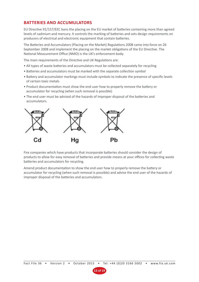# **BATTERIES AND ACCUMULATORS**

EU Directive 91/157/EEC bans the placing on the EU market of batteries containing more than agreed levels of cadmium and mercury. It controls the marking of batteries and sets design requirements on producers of electrical and electronic equipment that contain batteries.

The Batteries and Accumulators (Placing on the Market) Regulations 2008 came into force on 26 September 2008 and implement the placing on the market obligations of the EU Directive. The National Measurement Office (NMO) is the UK's enforcement body.

The main requirements of the Directive and UK Regulations are:

- All types of waste batteries and accumulators must be collected separately for recycling
- Batteries and accumulators must be marked with the separate collection symbol
- Battery and accumulator markings must include symbols to indicate the presence of specific levels of certain toxic metals
- Product documentation must show the end user how to properly remove the battery or accumulator for recycling (when such removal is possible)
- The end user must be advised of the hazards of improper disposal of the batteries and accumulators.



Fire companies which have products that incorporate batteries should consider the design of products to allow for easy removal of batteries and provide means at your offices for collecting waste batteries and accumulators for recycling.

Amend product documentation to show the end user how to properly remove the battery or accumulator for recycling (when such removal is possible) and advise the end user of the hazards of improper disposal of the batteries and accumulators.

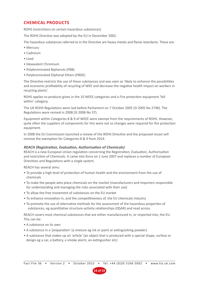# **CHEMICAL PRODUCTS**

ROHS (restrictions on certain hazardous substances)

The ROHS Directive was adopted by the EU in December 2002.

The hazardous substances referred to in the Directive are heavy metals and flame retardants. These are:

- Mercury
- Cadmium
- Lead
- Hexavalent Chromium
- Polybrominated Biphenols (PBB)
- Polybrominated Diphenyl Ethers (PBDE)

The Directive restricts the use of these substances and was seen as 'likely to enhance the possibilities and economic profitability of recycling of WEE and decrease the negative health impact on workers in recycling plants'.

ROHS applies to products given in the 10 WEEE categories and a Fire protection equipment 'fall within' category.

The UK ROHS Regulations were laid before Parliament on 7 October 2005 (SI 2005 No 2748). The Regulations were revised in 2008 (SI 2008 No 37).

Equipment within Categories 8 & 9 of WEEE were exempt from the requirements of ROHS. However, quite often the suppliers of components for this were not so changes were required for fire protection equipment.

In 2008 the EU Commission launched a review of the ROHS Directive and the proposed recast will remove the exemption for Categories 8 & 9 from 2014.

#### **REACH (Registration, Evaluation, Authorisation of Chemicals)**

REACH is a new European Union regulation concerning the Registration, Evaluation, Authorisation and restriction of Chemicals. It came into force on 1 June 2007 and replaces a number of European Directives and Regulations with a single system.

REACH has several aims:

- To provide a high level of protection of human health and the environment from the use of chemicals
- To make the people who place chemicals on the market (manufacturers and importers responsible for understanding and managing the risks associated with their use)
- To allow the free movement of substances on the EU market
- To enhance innovation in, and the competitiveness of, the EU chemicals industry
- To promote the use of alternative methods for the assessment of the hazardous properties of substances, eg quantitative structure-activity relationships (QSAR) and read across

REACH covers most chemical substances that are either manufactured in, or imported into, the EU. This can be:

- A substance on its own
- A substance in a 'preparation' (a mixture eg ink or paint or extinguishing powder)
- A substance that makes up an 'article' (an object that is produced with a special shape, surface or design eg a car, a battery, a smoke alarm, an extinguisher etc)

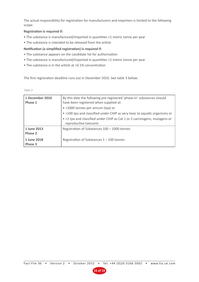The actual responsibility for registration for manufacturers and importers is limited to the following scope:

#### **Registration is required if:**

- The substance is manufactured/imported in quantities >1 metric tonne per year
- The substance is intended to be released from the article

#### **Notification (a simplified registration) is required if:**

- The substance appears on the candidate list for authorisation
- The substance is manufactured/imported in quantities >1 metric tonne per year
- The substance is in the article at >0.1% concentration

The first registration deadline runs out in December 2010. See table 3 below:

|  | ___ | - 1<br>۰. |
|--|-----|-----------|

| 1 December 2010<br>Phase 1                       | By this date the following pre-registered 'phase-in' substances should<br>have been registered when supplied at:<br>• >1000 tonnes per annum (tpa) or<br>• >100 tpa and classified under CHIP as very toxic to aquatic organisms or<br>• >1 tpa and classified under CHIP as Cat 1 or 2 carcinogens, mutagens or<br>reproductive toxicants |
|--------------------------------------------------|--------------------------------------------------------------------------------------------------------------------------------------------------------------------------------------------------------------------------------------------------------------------------------------------------------------------------------------------|
| 1 June 2013<br>Phase 2<br>1 June 2018<br>Phase 3 | Registration of Substances 100 - 1000 tonnes<br>Registration of Substances $1 - 100$ tonnes                                                                                                                                                                                                                                                |

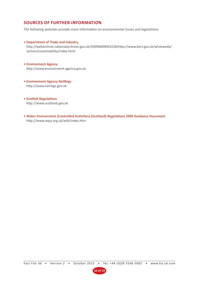# **SOURCES OF FURTHER INFORMATION**

The following websites provide more information on environmental issues and legislations:

#### **• Department of Trade and Industry**

http://webarchive.nationalarchives.gov.uk/20090609003228/http://www.berr.gov.uk/whatwedo/ sectors/sustainability/index.html

#### **• Environment Agency**  http://www.environment-agency.gov.uk

**• Environment Agency NetRegs**  http://www.netregs.gov.uk

**• Scottish Regulations**  http://www.scotland.gov.uk

**• Water Environment (Controlled Activities) (Scotland) Regulations 2005 Guidance Document**  http://www.sepa.org.uk/wfd/index.htm

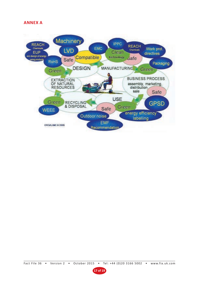# **ANNEX A**



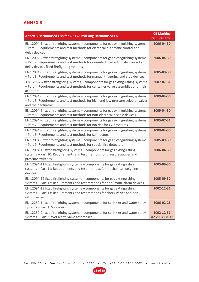# **ANNEX B**

| Annex B Harmonised ENs for CPD CE marking Harmonised EN                                                                                                                                                          | <b>CE Marking</b><br>required from |
|------------------------------------------------------------------------------------------------------------------------------------------------------------------------------------------------------------------|------------------------------------|
| EN 12094-1 fixed firefighting systems – components for gas extinguishing systems<br>- Part 1: Requirements and test methods for electrical automatic control and<br>delay devices                                | 2006-04-30                         |
| EN 12094-2 fixed firefighting systems - components for gas extinguishing systems<br>- Part 2: Requirements and test methods for non-electrical automatic control and<br>delay devices fixed firefighting systems | 2006-04-30                         |
| EN 12094-3 fixed firefighting systems - components for gas extinguishing systems<br>- Part 3: Requirements and test methods for manual triggering and stop devices                                               | 2005-09-30                         |
| EN 12094-4 fixed firefighting systems - components for gas extinguishing systems<br>- Part 4: Requirements and test methods for container valve assemblies and their<br>actuators                                | 2007-07-31                         |
| EN 12094-5 fixed firefighting systems - components for gas extinguishing systems<br>- Part 5: Requirements and test methods for high and low pressure selector valves<br>and their actuators                     | 2009-04-30                         |
| EN 12094-6 fixed firefighting systems - components for gas extinguishing systems<br>- Part 6: Requirements and test methods for non-electrical disable devices                                                   | 2009-04-30                         |
| EN 12094-7 fixed firefighting systems - components for gas extinguishing systems<br>- Part 7: Requirements and test methods for nozzles for CO2 systems                                                          | 2005-07-31                         |
| EN 12094-8 fixed firefighting systems - components for gas extinguishing systems<br>- Part 8: Requirements and test methods for connectors                                                                       | 2009-04-30                         |
| EN 12094-9 fixed firefighting systems - components for gas extinguishing systems<br>- Part 9: Requirements and test methods for special fire detectors                                                           | 2005-09-30                         |
| EN 12094-10 fixed firefighting systems - components for gas extinguishing<br>systems - Part 10: Requirements and test methods for pressure gauges and<br>pressure switches                                       | 2006-04-30                         |
| EN 12094-11 fixed firefighting systems - components for gas extinguishing<br>systems - Part 11: Requirements and test methods for mechanical weighing<br>devices                                                 | 2005-09-30                         |
| EN 12094-12 fixed firefighting systems - components for gas extinguishing<br>systems - Part 12: Requirements and test methods for pneumatic alarm devices                                                        | 2005-09-30                         |
| EN 12094-13 fixed firefighting systems - components for gas extinguishing<br>systems - Part 13: Requirements and test methods for check valves and non-<br>return valves                                         | 2002-12-31                         |
| EN 12259-1 fixed firefighting systems - components for sprinkler and water spray<br>systems - Part 1: Sprinklers                                                                                                 | 2006-02-28                         |
| EN 12259-2 fixed firefighting systems - components for sprinkler and water spray<br>systems - Part 2: Wet alarm valve assemblies                                                                                 | 2002-12-31<br>A2 2007-08-31        |